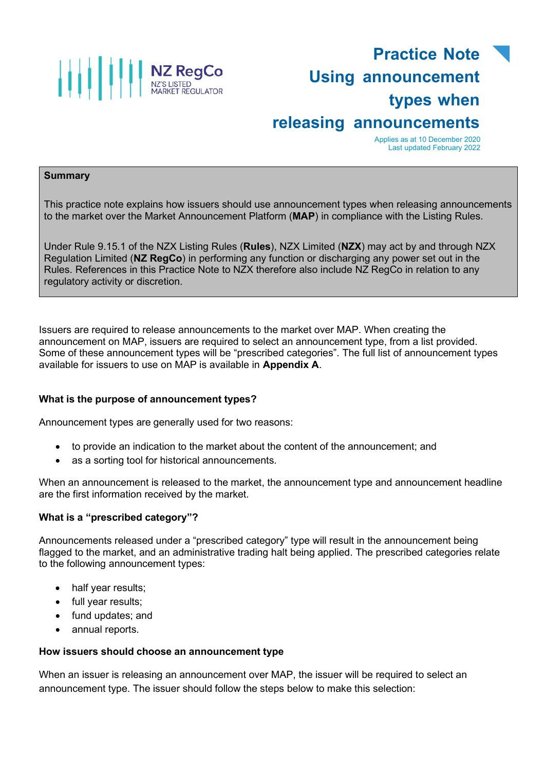

# **Practice Note Using announcement types when releasing announcements**

Applies as at 10 December 2020 Last updated February 2022

#### **Summary**

This practice note explains how issuers should use announcement types when releasing announcements to the market over the Market Announcement Platform (**MAP**) in compliance with the Listing Rules.

Under Rule 9.15.1 of the NZX Listing Rules (**Rules**), NZX Limited (**NZX**) may act by and through NZX Regulation Limited (**NZ RegCo**) in performing any function or discharging any power set out in the Rules. References in this Practice Note to NZX therefore also include NZ RegCo in relation to any regulatory activity or discretion.

Issuers are required to release announcements to the market over MAP. When creating the announcement on MAP, issuers are required to select an announcement type, from a list provided. Some of these announcement types will be "prescribed categories". The full list of announcement types available for issuers to use on MAP is available in **Appendix A**.

#### **What is the purpose of announcement types?**

Announcement types are generally used for two reasons:

- to provide an indication to the market about the content of the announcement; and
- as a sorting tool for historical announcements.

When an announcement is released to the market, the announcement type and announcement headline are the first information received by the market.

#### **What is a "prescribed category"?**

Announcements released under a "prescribed category" type will result in the announcement being flagged to the market, and an administrative trading halt being applied. The prescribed categories relate to the following announcement types:

- half year results;
- full year results;
- fund updates; and
- annual reports.

#### **How issuers should choose an announcement type**

When an issuer is releasing an announcement over MAP, the issuer will be required to select an announcement type. The issuer should follow the steps below to make this selection: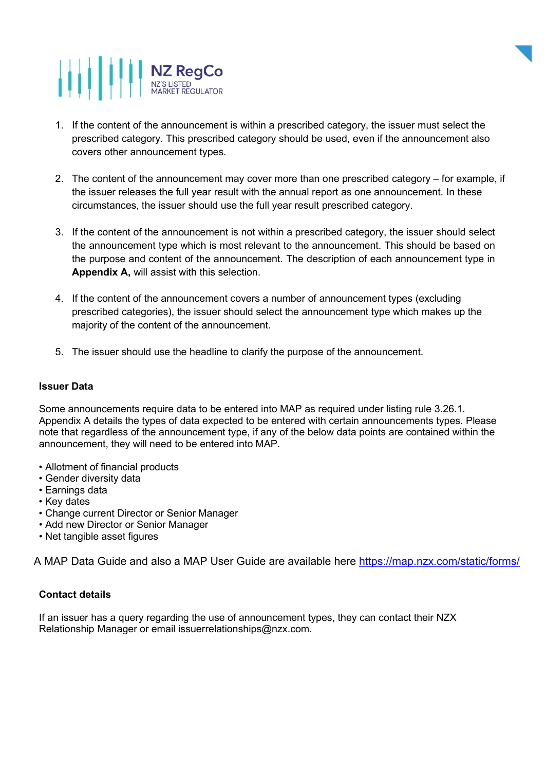# **AND READ TO A PROPER SUBTED**



- 1. If the content of the announcement is within a prescribed category, the issuer must select the prescribed category. This prescribed category should be used, even if the announcement also covers other announcement types.
- 2. The content of the announcement may cover more than one prescribed category for example, if the issuer releases the full year result with the annual report as one announcement. In these circumstances, the issuer should use the full year result prescribed category.
- 3. If the content of the announcement is not within a prescribed category, the issuer should select the announcement type which is most relevant to the announcement. This should be based on the purpose and content of the announcement. The description of each announcement type in **Appendix A,** will assist with this selection.
- 4. If the content of the announcement covers a number of announcement types (excluding prescribed categories), the issuer should select the announcement type which makes up the majority of the content of the announcement.
- 5. The issuer should use the headline to clarify the purpose of the announcement.

#### **Issuer Data**

Some announcements require data to be entered into MAP as required under listing rule 3.26.1. Appendix A details the types of data expected to be entered with certain announcements types. Please note that regardless of the announcement type, if any of the below data points are contained within the announcement, they will need to be entered into MAP.

- Allotment of financial products
- Gender diversity data
- Earnings data
- Key dates
- Change current Director or Senior Manager
- Add new Director or Senior Manager
- Net tangible asset figures

A MAP Data Guide and also a MAP User Guide are available here<https://map.nzx.com/static/forms/>

### **Contact details**

If an issuer has a query regarding the use of announcement types, they can contact their NZX Relationship Manager or email [issuerrelationships@nzx.com.](mailto:issuerrelationships@nzx.com)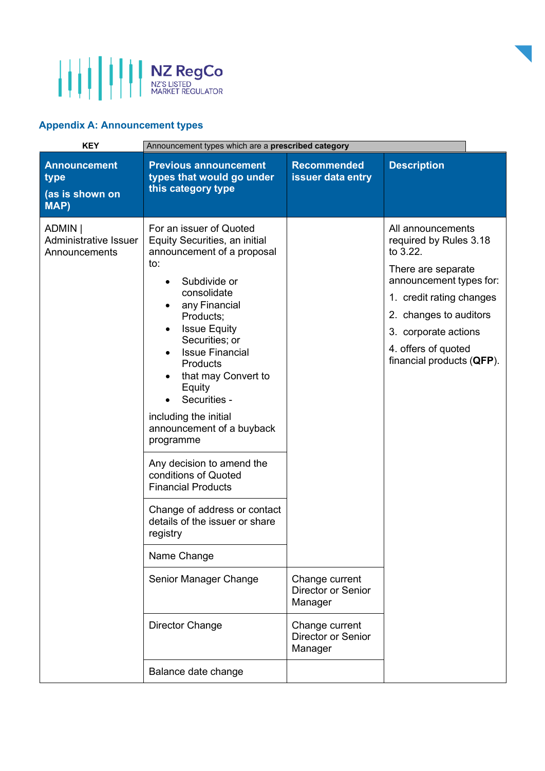

## **Appendix A: Announcement types**

| <b>KEY</b>                                               | Announcement types which are a prescribed category                                                                                                                                                                                                                                                                                                                                                                                                                                                                                                               |                                                        |                                                                                                                                                                                                                                            |
|----------------------------------------------------------|------------------------------------------------------------------------------------------------------------------------------------------------------------------------------------------------------------------------------------------------------------------------------------------------------------------------------------------------------------------------------------------------------------------------------------------------------------------------------------------------------------------------------------------------------------------|--------------------------------------------------------|--------------------------------------------------------------------------------------------------------------------------------------------------------------------------------------------------------------------------------------------|
| <b>Announcement</b><br>type<br>(as is shown on<br>MAP)   | <b>Previous announcement</b><br>types that would go under<br>this category type                                                                                                                                                                                                                                                                                                                                                                                                                                                                                  | <b>Recommended</b><br>issuer data entry                | <b>Description</b>                                                                                                                                                                                                                         |
| ADMIN  <br><b>Administrative Issuer</b><br>Announcements | For an issuer of Quoted<br>Equity Securities, an initial<br>announcement of a proposal<br>to:<br>Subdivide or<br>consolidate<br>any Financial<br>$\bullet$<br>Products;<br><b>Issue Equity</b><br>Securities; or<br><b>Issue Financial</b><br><b>Products</b><br>that may Convert to<br>Equity<br>Securities -<br>including the initial<br>announcement of a buyback<br>programme<br>Any decision to amend the<br>conditions of Quoted<br><b>Financial Products</b><br>Change of address or contact<br>details of the issuer or share<br>registry<br>Name Change |                                                        | All announcements<br>required by Rules 3.18<br>to 3.22.<br>There are separate<br>announcement types for:<br>1. credit rating changes<br>2. changes to auditors<br>3. corporate actions<br>4. offers of quoted<br>financial products (QFP). |
|                                                          | Senior Manager Change                                                                                                                                                                                                                                                                                                                                                                                                                                                                                                                                            | Change current<br>Director or Senior<br>Manager        |                                                                                                                                                                                                                                            |
|                                                          | <b>Director Change</b>                                                                                                                                                                                                                                                                                                                                                                                                                                                                                                                                           | Change current<br><b>Director or Senior</b><br>Manager |                                                                                                                                                                                                                                            |
|                                                          | Balance date change                                                                                                                                                                                                                                                                                                                                                                                                                                                                                                                                              |                                                        |                                                                                                                                                                                                                                            |

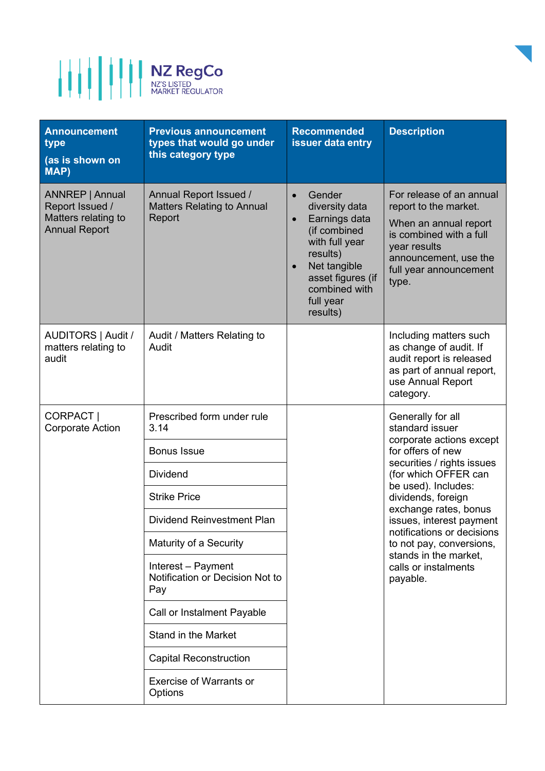

| <b>Announcement</b><br>type<br>(as is shown on<br>MAP)                            | <b>Previous announcement</b><br>types that would go under<br>this category type | <b>Recommended</b><br>issuer data entry                                                                                                                                             | <b>Description</b>                                                                                                                                                                                                                                                          |
|-----------------------------------------------------------------------------------|---------------------------------------------------------------------------------|-------------------------------------------------------------------------------------------------------------------------------------------------------------------------------------|-----------------------------------------------------------------------------------------------------------------------------------------------------------------------------------------------------------------------------------------------------------------------------|
| ANNREP   Annual<br>Report Issued /<br>Matters relating to<br><b>Annual Report</b> | Annual Report Issued /<br><b>Matters Relating to Annual</b><br>Report           | Gender<br>diversity data<br>Earnings data<br>$\bullet$<br>(if combined<br>with full year<br>results)<br>Net tangible<br>asset figures (if<br>combined with<br>full year<br>results) | For release of an annual<br>report to the market.<br>When an annual report<br>is combined with a full<br>year results<br>announcement, use the<br>full year announcement<br>type.                                                                                           |
| AUDITORS   Audit /<br>matters relating to<br>audit                                | Audit / Matters Relating to<br>Audit                                            |                                                                                                                                                                                     | Including matters such<br>as change of audit. If<br>audit report is released<br>as part of annual report,<br>use Annual Report<br>category.                                                                                                                                 |
| CORPACT  <br><b>Corporate Action</b>                                              | Prescribed form under rule<br>3.14                                              |                                                                                                                                                                                     | Generally for all<br>standard issuer                                                                                                                                                                                                                                        |
|                                                                                   | <b>Bonus Issue</b>                                                              |                                                                                                                                                                                     | corporate actions except<br>for offers of new                                                                                                                                                                                                                               |
|                                                                                   | <b>Dividend</b>                                                                 |                                                                                                                                                                                     | securities / rights issues<br>(for which OFFER can<br>be used). Includes:<br>dividends, foreign<br>exchange rates, bonus<br>issues, interest payment<br>notifications or decisions<br>to not pay, conversions,<br>stands in the market,<br>calls or instalments<br>payable. |
|                                                                                   | <b>Strike Price</b>                                                             |                                                                                                                                                                                     |                                                                                                                                                                                                                                                                             |
|                                                                                   | <b>Dividend Reinvestment Plan</b>                                               |                                                                                                                                                                                     |                                                                                                                                                                                                                                                                             |
|                                                                                   | Maturity of a Security                                                          |                                                                                                                                                                                     |                                                                                                                                                                                                                                                                             |
|                                                                                   | Interest - Payment<br>Notification or Decision Not to<br>Pay                    |                                                                                                                                                                                     |                                                                                                                                                                                                                                                                             |
|                                                                                   | Call or Instalment Payable                                                      |                                                                                                                                                                                     |                                                                                                                                                                                                                                                                             |
|                                                                                   | <b>Stand in the Market</b>                                                      |                                                                                                                                                                                     |                                                                                                                                                                                                                                                                             |
|                                                                                   | <b>Capital Reconstruction</b>                                                   |                                                                                                                                                                                     |                                                                                                                                                                                                                                                                             |
|                                                                                   | <b>Exercise of Warrants or</b><br>Options                                       |                                                                                                                                                                                     |                                                                                                                                                                                                                                                                             |

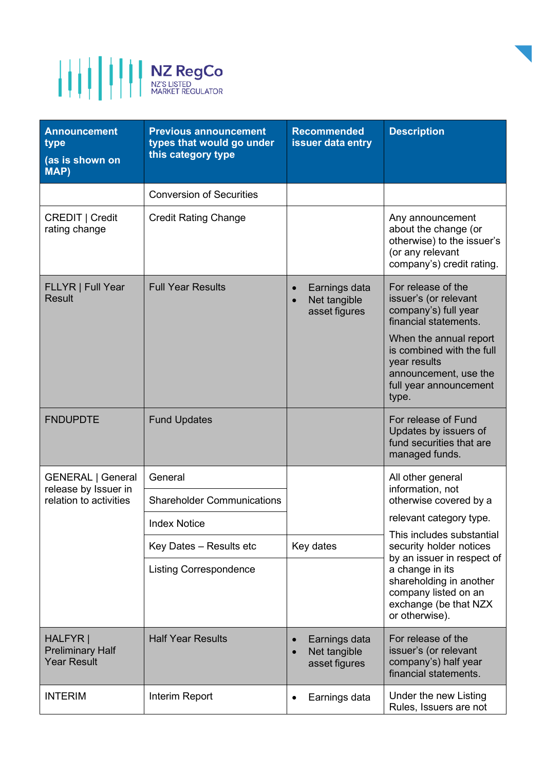

| <b>Announcement</b><br>type<br>(as is shown on<br><b>MAP)</b> | <b>Previous announcement</b><br>types that would go under<br>this category type | <b>Recommended</b><br>issuer data entry                     | <b>Description</b>                                                                                                                                                                                                                                                                                |
|---------------------------------------------------------------|---------------------------------------------------------------------------------|-------------------------------------------------------------|---------------------------------------------------------------------------------------------------------------------------------------------------------------------------------------------------------------------------------------------------------------------------------------------------|
|                                                               | <b>Conversion of Securities</b>                                                 |                                                             |                                                                                                                                                                                                                                                                                                   |
| CREDIT   Credit<br>rating change                              | <b>Credit Rating Change</b>                                                     |                                                             | Any announcement<br>about the change (or<br>otherwise) to the issuer's<br>(or any relevant<br>company's) credit rating.                                                                                                                                                                           |
| FLLYR   Full Year<br><b>Result</b>                            | <b>Full Year Results</b>                                                        | Earnings data<br>$\bullet$<br>Net tangible<br>asset figures | For release of the<br>issuer's (or relevant<br>company's) full year<br>financial statements.<br>When the annual report<br>is combined with the full<br>year results<br>announcement, use the<br>full year announcement<br>type.                                                                   |
| <b>FNDUPDTE</b>                                               | <b>Fund Updates</b>                                                             |                                                             | For release of Fund<br>Updates by issuers of<br>fund securities that are<br>managed funds.                                                                                                                                                                                                        |
| <b>GENERAL   General</b><br>release by Issuer in              | General                                                                         |                                                             | All other general<br>information, not<br>otherwise covered by a<br>relevant category type.<br>This includes substantial<br>security holder notices<br>by an issuer in respect of<br>a change in its<br>shareholding in another<br>company listed on an<br>exchange (be that NZX<br>or otherwise). |
| relation to activities                                        | <b>Shareholder Communications</b>                                               |                                                             |                                                                                                                                                                                                                                                                                                   |
|                                                               | <b>Index Notice</b>                                                             |                                                             |                                                                                                                                                                                                                                                                                                   |
|                                                               | Key Dates - Results etc                                                         | Key dates                                                   |                                                                                                                                                                                                                                                                                                   |
|                                                               | <b>Listing Correspondence</b>                                                   |                                                             |                                                                                                                                                                                                                                                                                                   |
| HALFYR  <br><b>Preliminary Half</b><br><b>Year Result</b>     | <b>Half Year Results</b>                                                        | Earnings data<br>Net tangible<br>$\bullet$<br>asset figures | For release of the<br>issuer's (or relevant<br>company's) half year<br>financial statements.                                                                                                                                                                                                      |
| <b>INTERIM</b>                                                | Interim Report                                                                  | Earnings data<br>٠                                          | Under the new Listing<br>Rules, Issuers are not                                                                                                                                                                                                                                                   |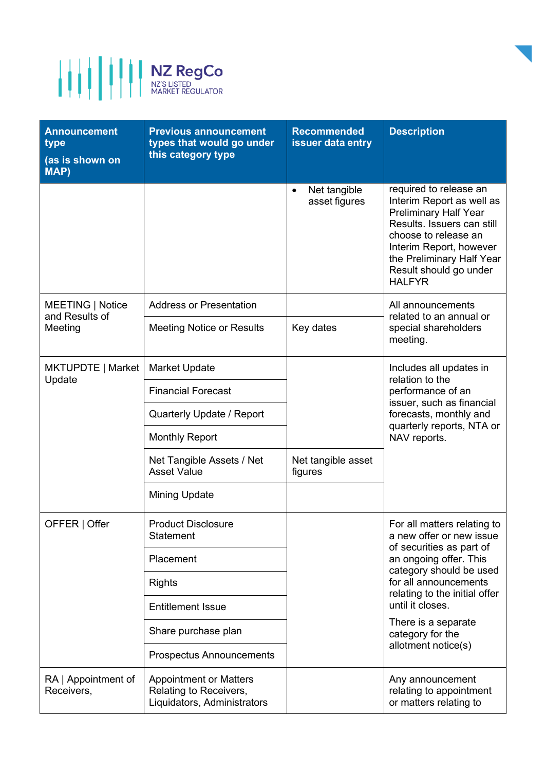

| <b>Announcement</b><br>type<br>(as is shown on<br><b>MAP)</b> | <b>Previous announcement</b><br>types that would go under<br>this category type        | <b>Recommended</b><br>issuer data entry                               | <b>Description</b>                                                                                                                                                                                                                           |
|---------------------------------------------------------------|----------------------------------------------------------------------------------------|-----------------------------------------------------------------------|----------------------------------------------------------------------------------------------------------------------------------------------------------------------------------------------------------------------------------------------|
|                                                               |                                                                                        | Net tangible<br>$\bullet$<br>asset figures                            | required to release an<br>Interim Report as well as<br><b>Preliminary Half Year</b><br>Results. Issuers can still<br>choose to release an<br>Interim Report, however<br>the Preliminary Half Year<br>Result should go under<br><b>HALFYR</b> |
| <b>MEETING   Notice</b>                                       | <b>Address or Presentation</b>                                                         |                                                                       | All announcements<br>related to an annual or<br>special shareholders<br>meeting.                                                                                                                                                             |
| and Results of<br>Meeting                                     | <b>Meeting Notice or Results</b>                                                       | Key dates                                                             |                                                                                                                                                                                                                                              |
| MKTUPDTE   Market<br>Update                                   | <b>Market Update</b>                                                                   |                                                                       | Includes all updates in<br>relation to the<br>performance of an<br>issuer, such as financial<br>forecasts, monthly and<br>quarterly reports, NTA or<br>NAV reports.                                                                          |
|                                                               | <b>Financial Forecast</b>                                                              |                                                                       |                                                                                                                                                                                                                                              |
|                                                               | Quarterly Update / Report                                                              |                                                                       |                                                                                                                                                                                                                                              |
|                                                               | <b>Monthly Report</b>                                                                  |                                                                       |                                                                                                                                                                                                                                              |
|                                                               | Net Tangible Assets / Net<br><b>Asset Value</b>                                        | Net tangible asset<br>figures                                         |                                                                                                                                                                                                                                              |
|                                                               | <b>Mining Update</b>                                                                   |                                                                       |                                                                                                                                                                                                                                              |
| OFFER   Offer                                                 | <b>Product Disclosure</b><br>Statement                                                 |                                                                       | For all matters relating to<br>a new offer or new issue                                                                                                                                                                                      |
|                                                               | Placement                                                                              |                                                                       | of securities as part of<br>an ongoing offer. This<br>category should be used                                                                                                                                                                |
|                                                               | <b>Rights</b>                                                                          | relating to the initial offer<br>until it closes.<br>category for the | for all announcements                                                                                                                                                                                                                        |
|                                                               | <b>Entitlement Issue</b>                                                               |                                                                       |                                                                                                                                                                                                                                              |
|                                                               | Share purchase plan                                                                    |                                                                       | There is a separate<br>allotment notice(s)                                                                                                                                                                                                   |
|                                                               | <b>Prospectus Announcements</b>                                                        |                                                                       |                                                                                                                                                                                                                                              |
| RA   Appointment of<br>Receivers,                             | <b>Appointment or Matters</b><br>Relating to Receivers,<br>Liquidators, Administrators |                                                                       | Any announcement<br>relating to appointment<br>or matters relating to                                                                                                                                                                        |